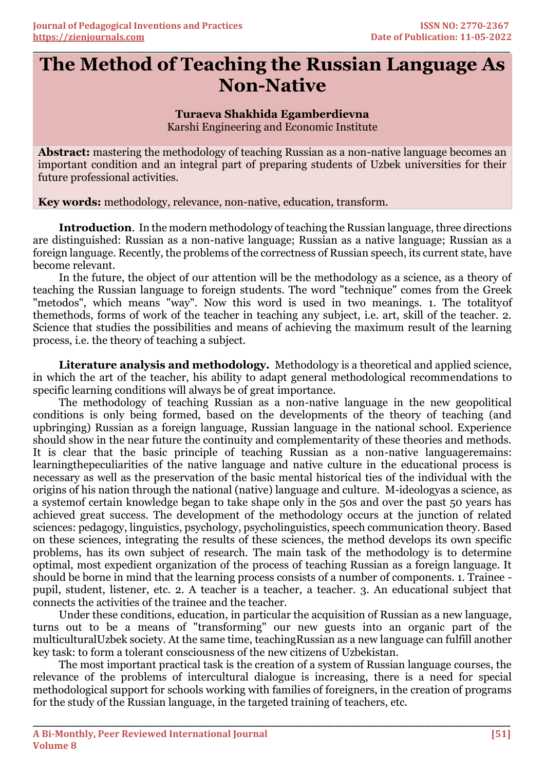## **The Method of Teaching the Russian Language As Non-Native**

**\_\_\_\_\_\_\_\_\_\_\_\_\_\_\_\_\_\_\_\_\_\_\_\_\_\_\_\_\_\_\_\_\_\_\_\_\_\_\_\_\_\_\_\_\_\_\_\_\_\_\_\_\_\_\_\_\_\_\_\_\_\_\_\_\_\_\_\_\_\_\_\_\_\_\_\_\_\_\_\_\_\_\_\_\_\_\_\_\_\_\_\_\_\_\_\_\_\_\_\_\_\_\_\_\_\_\_\_\_\_\_\_\_\_\_\_\_\_\_\_\_\_\_\_\_\_\_\_\_\_\_\_\_\_**

## **Turaeva Shakhida Egamberdievna**

Karshi Engineering and Economic Institute

**Abstract:** mastering the methodology of teaching Russian as a non-native language becomes an important condition and an integral part of preparing students of Uzbek universities for their future professional activities.

**Key words:** methodology, relevance, non-native, education, transform.

**Introduction**. In the modern methodology of teaching the Russian language, three directions are distinguished: Russian as a non-native language; Russian as a native language; Russian as a foreign language. Recently, the problems of the correctness of Russian speech, its current state, have become relevant.

In the future, the object of our attention will be the methodology as a science, as a theory of teaching the Russian language to foreign students. The word "technique" comes from the Greek "metodos", which means "way". Now this word is used in two meanings. 1. The totalityof themethods, forms of work of the teacher in teaching any subject, i.e. art, skill of the teacher. 2. Science that studies the possibilities and means of achieving the maximum result of the learning process, i.e. the theory of teaching a subject.

**Literature analysis and methodology.** Methodology is a theoretical and applied science, in which the art of the teacher, his ability to adapt general methodological recommendations to specific learning conditions will always be of great importance.

The methodology of teaching Russian as a non-native language in the new geopolitical conditions is only being formed, based on the developments of the theory of teaching (and upbringing) Russian as a foreign language, Russian language in the national school. Experience should show in the near future the continuity and complementarity of these theories and methods. It is clear that the basic principle of teaching Russian as a non-native languageremains: learningthepeculiarities of the native language and native culture in the educational process is necessary as well as the preservation of the basic mental historical ties of the individual with the origins of his nation through the national (native) language and culture. M-ideologyas a science, as a systemof certain knowledge began to take shape only in the 50s and over the past 50 years has achieved great success. The development of the methodology occurs at the junction of related sciences: pedagogy, linguistics, psychology, psycholinguistics, speech communication theory. Based on these sciences, integrating the results of these sciences, the method develops its own specific problems, has its own subject of research. The main task of the methodology is to determine optimal, most expedient organization of the process of teaching Russian as a foreign language. It should be borne in mind that the learning process consists of a number of components. 1. Trainee pupil, student, listener, etc. 2. A teacher is a teacher, a teacher. 3. An educational subject that connects the activities of the trainee and the teacher.

Under these conditions, education, in particular the acquisition of Russian as a new language, turns out to be a means of "transforming" our new guests into an organic part of the multiculturalUzbek society. At the same time, teachingRussian as a new language can fulfill another key task: to form a tolerant consciousness of the new citizens of Uzbekistan.

The most important practical task is the creation of a system of Russian language courses, the relevance of the problems of intercultural dialogue is increasing, there is a need for special methodological support for schools working with families of foreigners, in the creation of programs for the study of the Russian language, in the targeted training of teachers, etc.

**\_\_\_\_\_\_\_\_\_\_\_\_\_\_\_\_\_\_\_\_\_\_\_\_\_\_\_\_\_\_\_\_\_\_\_\_\_\_\_\_\_\_\_\_\_\_\_\_\_\_\_\_\_\_\_\_\_\_\_\_\_\_\_\_\_\_\_\_\_\_\_\_\_\_\_\_\_\_\_\_\_\_\_\_\_\_\_\_\_\_\_\_\_\_\_\_\_\_\_\_\_\_\_\_\_\_\_\_\_\_\_\_\_\_\_\_\_\_\_\_\_\_\_\_\_\_\_\_**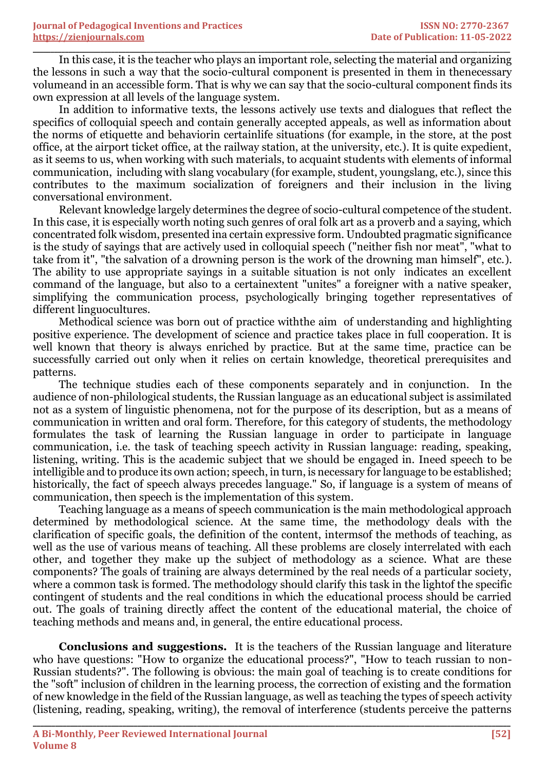In this case, it is the teacher who plays an important role, selecting the material and organizing the lessons in such a way that the socio-cultural component is presented in them in thenecessary volumeand in an accessible form. That is why we can say that the socio-cultural component finds its own expression at all levels of the language system.

**\_\_\_\_\_\_\_\_\_\_\_\_\_\_\_\_\_\_\_\_\_\_\_\_\_\_\_\_\_\_\_\_\_\_\_\_\_\_\_\_\_\_\_\_\_\_\_\_\_\_\_\_\_\_\_\_\_\_\_\_\_\_\_\_\_\_\_\_\_\_\_\_\_\_\_\_\_\_\_\_\_\_\_\_\_\_\_\_\_\_\_\_\_\_\_\_\_\_\_\_\_\_\_\_\_\_\_\_\_\_\_\_\_\_\_\_\_\_\_\_\_\_\_\_\_\_\_\_\_\_\_\_\_\_**

In addition to informative texts, the lessons actively use texts and dialogues that reflect the specifics of colloquial speech and contain generally accepted appeals, as well as information about the norms of etiquette and behaviorin certainlife situations (for example, in the store, at the post office, at the airport ticket office, at the railway station, at the university, etc.). It is quite expedient, as it seems to us, when working with such materials, to acquaint students with elements of informal communication, including with slang vocabulary (for example, student, youngslang, etc.), since this contributes to the maximum socialization of foreigners and their inclusion in the living conversational environment.

Relevant knowledge largely determines the degree of socio-cultural competence of the student. In this case, it is especially worth noting such genres of oral folk art as a proverb and a saying, which concentrated folk wisdom, presented ina certain expressive form. Undoubted pragmatic significance is the study of sayings that are actively used in colloquial speech ("neither fish nor meat", "what to take from it", "the salvation of a drowning person is the work of the drowning man himself", etc.). The ability to use appropriate sayings in a suitable situation is not only indicates an excellent command of the language, but also to a certainextent "unites" a foreigner with a native speaker, simplifying the communication process, psychologically bringing together representatives of different linguocultures.

Methodical science was born out of practice withthe aim of understanding and highlighting positive experience. The development of science and practice takes place in full cooperation. It is well known that theory is always enriched by practice. But at the same time, practice can be successfully carried out only when it relies on certain knowledge, theoretical prerequisites and patterns.

The technique studies each of these components separately and in conjunction. In the audience of non-philological students, the Russian language as an educational subject is assimilated not as a system of linguistic phenomena, not for the purpose of its description, but as a means of communication in written and oral form. Therefore, for this category of students, the methodology formulates the task of learning the Russian language in order to participate in language communication, i.e. the task of teaching speech activity in Russian language: reading, speaking, listening, writing. This is the academic subject that we should be engaged in. Ineed speech to be intelligible and to produce its own action; speech, in turn, is necessary for language to be established; historically, the fact of speech always precedes language." So, if language is a system of means of communication, then speech is the implementation of this system.

Teaching language as a means of speech communication is the main methodological approach determined by methodological science. At the same time, the methodology deals with the clarification of specific goals, the definition of the content, intermsof the methods of teaching, as well as the use of various means of teaching. All these problems are closely interrelated with each other, and together they make up the subject of methodology as a science. What are these components? The goals of training are always determined by the real needs of a particular society, where a common task is formed. The methodology should clarify this task in the lightof the specific contingent of students and the real conditions in which the educational process should be carried out. The goals of training directly affect the content of the educational material, the choice of teaching methods and means and, in general, the entire educational process.

**Conclusions and suggestions.** It is the teachers of the Russian language and literature who have questions: "How to organize the educational process?", "How to teach russian to non-Russian students?". The following is obvious: the main goal of teaching is to create conditions for the "soft" inclusion of children in the learning process, the correction of existing and the formation of new knowledge in the field of the Russian language, as well as teaching the types of speech activity (listening, reading, speaking, writing), the removal of interference (students perceive the patterns

**\_\_\_\_\_\_\_\_\_\_\_\_\_\_\_\_\_\_\_\_\_\_\_\_\_\_\_\_\_\_\_\_\_\_\_\_\_\_\_\_\_\_\_\_\_\_\_\_\_\_\_\_\_\_\_\_\_\_\_\_\_\_\_\_\_\_\_\_\_\_\_\_\_\_\_\_\_\_\_\_\_\_\_\_\_\_\_\_\_\_\_\_\_\_\_\_\_\_\_\_\_\_\_\_\_\_\_\_\_\_\_\_\_\_\_\_\_\_\_\_\_\_\_\_\_\_\_\_**